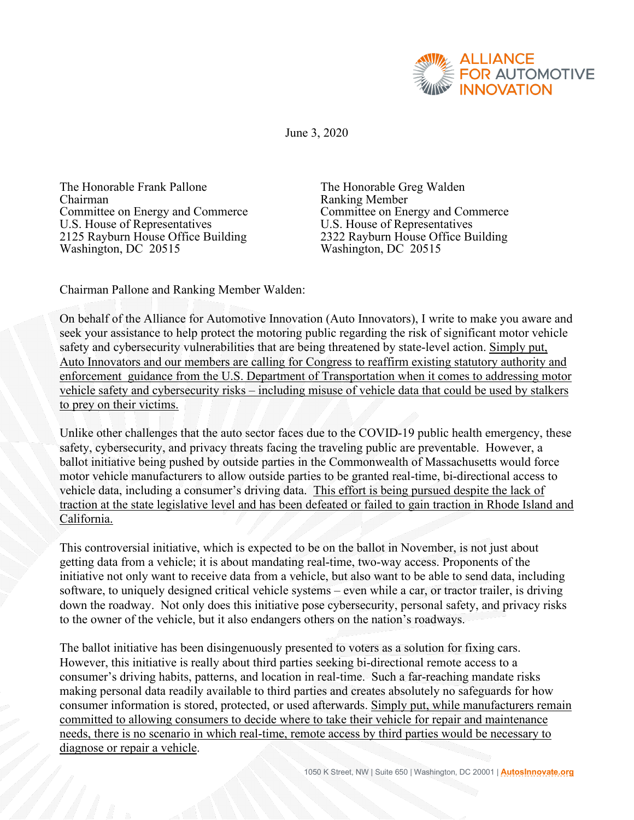

June 3, 2020

The Honorable Frank Pallone<br>
Chairman Ranking Member<br>
Committee on Energy and Commerce Committee on Energy and Co Committee on Energy and Commerce<br>
U.S. House of Representatives<br>
U.S. House of Representatives 2125 Rayburn House Office Building Washington, DC 20515 Washington, DC 20515

U.S. House of Representatives<br>2322 Rayburn House Office Building

Chairman Pallone and Ranking Member Walden:

On behalf of the Alliance for Automotive Innovation (Auto Innovators), I write to make you aware and seek your assistance to help protect the motoring public regarding the risk of significant motor vehicle safety and cybersecurity vulnerabilities that are being threatened by state-level action. Simply put, Auto Innovators and our members are calling for Congress to reaffirm existing statutory authority and enforcement guidance from the U.S. Department of Transportation when it comes to addressing motor vehicle safety and cybersecurity risks – including misuse of vehicle data that could be used by stalkers to prey on their victims.

Unlike other challenges that the auto sector faces due to the COVID-19 public health emergency, these safety, cybersecurity, and privacy threats facing the traveling public are preventable. However, a ballot initiative being pushed by outside parties in the Commonwealth of Massachusetts would force motor vehicle manufacturers to allow outside parties to be granted real-time, bi-directional access to vehicle data, including a consumer's driving data. This effort is being pursued despite the lack of traction at the state legislative level and has been defeated or failed to gain traction in Rhode Island and California.

This controversial initiative, which is expected to be on the ballot in November, is not just about getting data from a vehicle; it is about mandating real-time, two-way access. Proponents of the initiative not only want to receive data from a vehicle, but also want to be able to send data, including software, to uniquely designed critical vehicle systems – even while a car, or tractor trailer, is driving down the roadway. Not only does this initiative pose cybersecurity, personal safety, and privacy risks to the owner of the vehicle, but it also endangers others on the nation's roadways.

The ballot initiative has been disingenuously presented to voters as a solution for fixing cars. However, this initiative is really about third parties seeking bi-directional remote access to a consumer's driving habits, patterns, and location in real-time. Such a far-reaching mandate risks making personal data readily available to third parties and creates absolutely no safeguards for how consumer information is stored, protected, or used afterwards. Simply put, while manufacturers remain committed to allowing consumers to decide where to take their vehicle for repair and maintenance needs, there is no scenario in which real-time, remote access by third parties would be necessary to diagnose or repair a vehicle.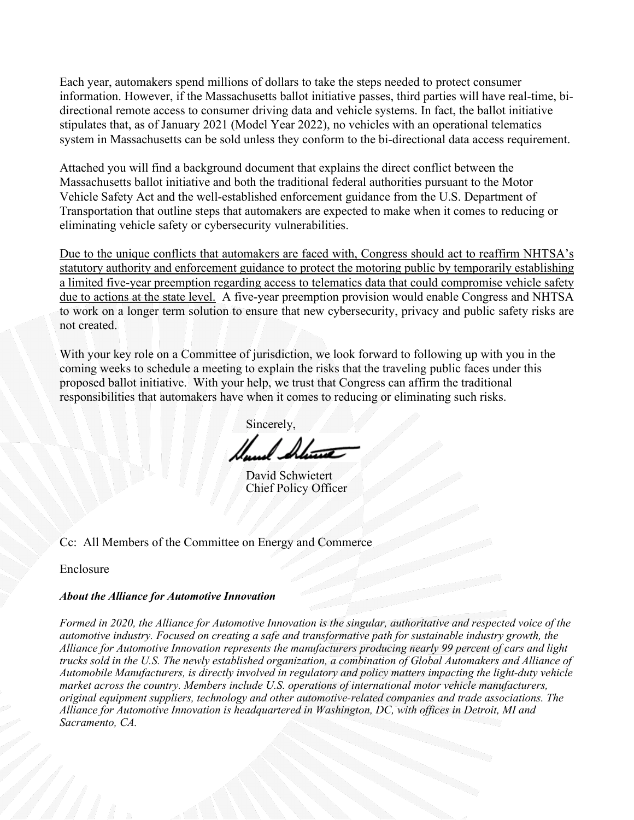Each year, automakers spend millions of dollars to take the steps needed to protect consumer information. However, if the Massachusetts ballot initiative passes, third parties will have real-time, bidirectional remote access to consumer driving data and vehicle systems. In fact, the ballot initiative stipulates that, as of January 2021 (Model Year 2022), no vehicles with an operational telematics system in Massachusetts can be sold unless they conform to the bi-directional data access requirement.

Attached you will find a background document that explains the direct conflict between the Massachusetts ballot initiative and both the traditional federal authorities pursuant to the Motor Vehicle Safety Act and the well-established enforcement guidance from the U.S. Department of Transportation that outline steps that automakers are expected to make when it comes to reducing or eliminating vehicle safety or cybersecurity vulnerabilities.

Due to the unique conflicts that automakers are faced with, Congress should act to reaffirm NHTSA's statutory authority and enforcement guidance to protect the motoring public by temporarily establishing a limited five-year preemption regarding access to telematics data that could compromise vehicle safety due to actions at the state level. A five-year preemption provision would enable Congress and NHTSA to work on a longer term solution to ensure that new cybersecurity, privacy and public safety risks are not created.

With your key role on a Committee of jurisdiction, we look forward to following up with you in the coming weeks to schedule a meeting to explain the risks that the traveling public faces under this proposed ballot initiative. With your help, we trust that Congress can affirm the traditional responsibilities that automakers have when it comes to reducing or eliminating such risks.

Sincerely.

David Schwietert Chief Policy Officer

Cc: All Members of the Committee on Energy and Commerce

Enclosure

## *About the Alliance for Automotive Innovation*

*Formed in 2020, the Alliance for Automotive Innovation is the singular, authoritative and respected voice of the automotive industry. Focused on creating a safe and transformative path for sustainable industry growth, the Alliance for Automotive Innovation represents the manufacturers producing nearly 99 percent of cars and light trucks sold in the U.S. The newly established organization, a combination of Global Automakers and Alliance of Automobile Manufacturers, is directly involved in regulatory and policy matters impacting the light-duty vehicle market across the country. Members include U.S. operations of international motor vehicle manufacturers, original equipment suppliers, technology and other automotive-related companies and trade associations. The Alliance for Automotive Innovation is headquartered in Washington, DC, with offices in Detroit, MI and Sacramento, CA.*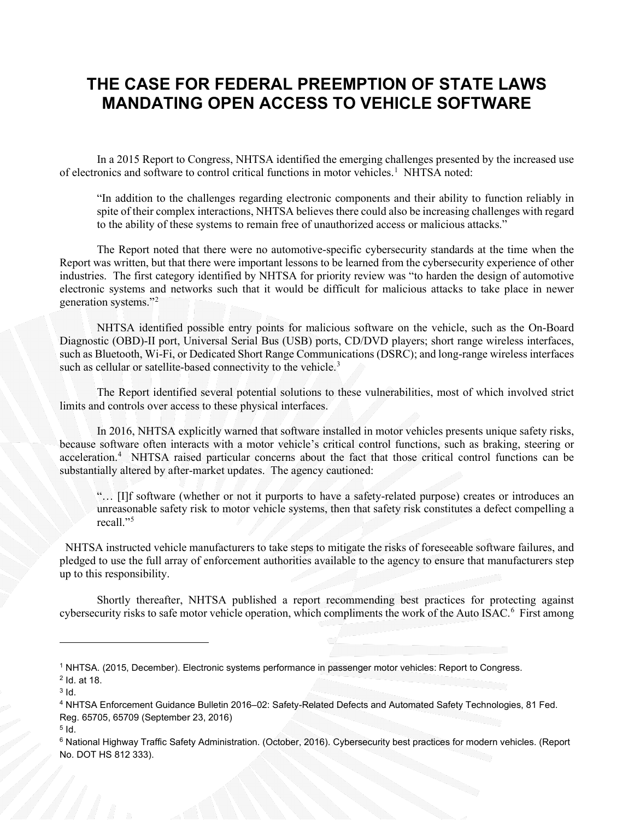## **THE CASE FOR FEDERAL PREEMPTION OF STATE LAWS MANDATING OPEN ACCESS TO VEHICLE SOFTWARE**

In a 2015 Report to Congress, NHTSA identified the emerging challenges presented by the increased use of electronics and software to control critical functions in motor vehicles.<sup>[1](#page-2-0)</sup> NHTSA noted:

"In addition to the challenges regarding electronic components and their ability to function reliably in spite of their complex interactions, NHTSA believes there could also be increasing challenges with regard to the ability of these systems to remain free of unauthorized access or malicious attacks."

The Report noted that there were no automotive-specific cybersecurity standards at the time when the Report was written, but that there were important lessons to be learned from the cybersecurity experience of other industries. The first category identified by NHTSA for priority review was "to harden the design of automotive electronic systems and networks such that it would be difficult for malicious attacks to take place in newer generation systems."[2](#page-2-1)

NHTSA identified possible entry points for malicious software on the vehicle, such as the On-Board Diagnostic (OBD)-II port, Universal Serial Bus (USB) ports, CD/DVD players; short range wireless interfaces, such as Bluetooth, Wi-Fi, or Dedicated Short Range Communications (DSRC); and long-range wireless interfaces such as cellular or satellite-based connectivity to the vehicle.<sup>[3](#page-2-2)</sup>

The Report identified several potential solutions to these vulnerabilities, most of which involved strict limits and controls over access to these physical interfaces.

In 2016, NHTSA explicitly warned that software installed in motor vehicles presents unique safety risks, because software often interacts with a motor vehicle's critical control functions, such as braking, steering or acceleration.<sup>[4](#page-2-3)</sup> NHTSA raised particular concerns about the fact that those critical control functions can be substantially altered by after-market updates. The agency cautioned:

"… [I]f software (whether or not it purports to have a safety-related purpose) creates or introduces an unreasonable safety risk to motor vehicle systems, then that safety risk constitutes a defect compelling a recall."[5](#page-2-4)

 NHTSA instructed vehicle manufacturers to take steps to mitigate the risks of foreseeable software failures, and pledged to use the full array of enforcement authorities available to the agency to ensure that manufacturers step up to this responsibility.

Shortly thereafter, NHTSA published a report recommending best practices for protecting against cybersecurity risks to safe motor vehicle operation, which compliments the work of the Auto ISAC.<sup>[6](#page-2-5)</sup> First among

<span id="page-2-1"></span><span id="page-2-0"></span><sup>1</sup> NHTSA. (2015, December). Electronic systems performance in passenger motor vehicles: Report to Congress. <sup>2</sup> Id. at 18.

<span id="page-2-2"></span> $3$  Id.

<span id="page-2-3"></span><sup>4</sup> NHTSA Enforcement Guidance Bulletin 2016–02: Safety-Related Defects and Automated Safety Technologies, 81 Fed. Reg. 65705, 65709 (September 23, 2016)

<span id="page-2-4"></span> $5$  Id.

<span id="page-2-5"></span><sup>&</sup>lt;sup>6</sup> National Highway Traffic Safety Administration. (October, 2016). Cybersecurity best practices for modern vehicles. (Report No. DOT HS 812 333).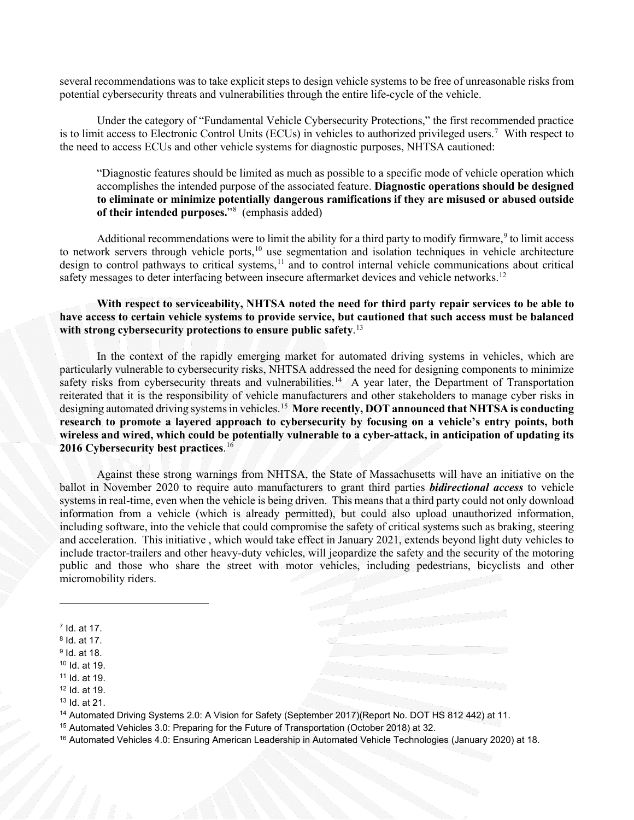several recommendations was to take explicit steps to design vehicle systems to be free of unreasonable risks from potential cybersecurity threats and vulnerabilities through the entire life-cycle of the vehicle.

Under the category of "Fundamental Vehicle Cybersecurity Protections," the first recommended practice is to limit access to Electronic Control Units (ECUs) in vehicles to authorized privileged users.[7](#page-3-0) With respect to the need to access ECUs and other vehicle systems for diagnostic purposes, NHTSA cautioned:

"Diagnostic features should be limited as much as possible to a specific mode of vehicle operation which accomplishes the intended purpose of the associated feature. **Diagnostic operations should be designed to eliminate or minimize potentially dangerous ramifications if they are misused or abused outside of their intended purposes.**"[8](#page-3-1) (emphasis added)

Additional recommendations were to limit the ability for a third party to modify firmware, $9$  to limit access to network servers through vehicle ports,<sup>[10](#page-3-3)</sup> use segmentation and isolation techniques in vehicle architecture design to control pathways to critical systems,<sup>[11](#page-3-4)</sup> and to control internal vehicle communications about critical safety messages to deter interfacing between insecure aftermarket devices and vehicle networks.<sup>[12](#page-3-5)</sup>

**With respect to serviceability, NHTSA noted the need for third party repair services to be able to have access to certain vehicle systems to provide service, but cautioned that such access must be balanced with strong cybersecurity protections to ensure public safety**. [13](#page-3-6)

In the context of the rapidly emerging market for automated driving systems in vehicles, which are particularly vulnerable to cybersecurity risks, NHTSA addressed the need for designing components to minimize safety risks from cybersecurity threats and vulnerabilities.<sup>[14](#page-3-7)</sup> A year later, the Department of Transportation reiterated that it is the responsibility of vehicle manufacturers and other stakeholders to manage cyber risks in designing automated driving systems in vehicles.[15](#page-3-8) **More recently, DOT announced that NHTSA is conducting research to promote a layered approach to cybersecurity by focusing on a vehicle's entry points, both wireless and wired, which could be potentially vulnerable to a cyber-attack, in anticipation of updating its 2016 Cybersecurity best practices**. [16](#page-3-9)

Against these strong warnings from NHTSA, the State of Massachusetts will have an initiative on the ballot in November 2020 to require auto manufacturers to grant third parties *bidirectional access* to vehicle systems in real-time, even when the vehicle is being driven. This means that a third party could not only download information from a vehicle (which is already permitted), but could also upload unauthorized information, including software, into the vehicle that could compromise the safety of critical systems such as braking, steering and acceleration. This initiative , which would take effect in January 2021, extends beyond light duty vehicles to include tractor-trailers and other heavy-duty vehicles, will jeopardize the safety and the security of the motoring public and those who share the street with motor vehicles, including pedestrians, bicyclists and other micromobility riders.

<span id="page-3-7"></span><sup>14</sup> Automated Driving Systems 2.0: A Vision for Safety (September 2017)(Report No. DOT HS 812 442) at 11.

<span id="page-3-8"></span><sup>15</sup> Automated Vehicles 3.0: Preparing for the Future of Transportation (October 2018) at 32.

<span id="page-3-9"></span><sup>16</sup> Automated Vehicles 4.0: Ensuring American Leadership in Automated Vehicle Technologies (January 2020) at 18.

<span id="page-3-0"></span><sup>7</sup> Id. at 17.

<span id="page-3-1"></span><sup>8</sup> Id. at 17.

<span id="page-3-2"></span><sup>9</sup> Id. at 18.

<span id="page-3-3"></span><sup>10</sup> Id. at 19.

<span id="page-3-4"></span><sup>11</sup> Id. at 19.

<span id="page-3-5"></span><sup>12</sup> Id. at 19.

<span id="page-3-6"></span><sup>13</sup> Id. at 21.